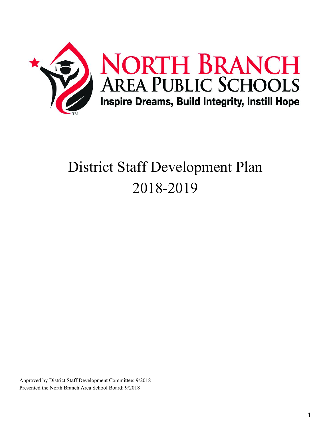

# District Staff Development Plan 2018-2019

Approved by District Staff Development Committee: 9/2018 Presented the North Branch Area School Board: 9/2018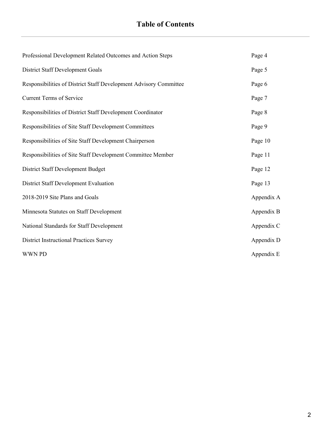| Professional Development Related Outcomes and Action Steps        | Page 4     |
|-------------------------------------------------------------------|------------|
| <b>District Staff Development Goals</b>                           | Page 5     |
| Responsibilities of District Staff Development Advisory Committee | Page 6     |
| <b>Current Terms of Service</b>                                   | Page 7     |
| Responsibilities of District Staff Development Coordinator        | Page 8     |
| Responsibilities of Site Staff Development Committees             | Page 9     |
| Responsibilities of Site Staff Development Chairperson            | Page 10    |
| Responsibilities of Site Staff Development Committee Member       | Page 11    |
| <b>District Staff Development Budget</b>                          | Page 12    |
| <b>District Staff Development Evaluation</b>                      | Page 13    |
| 2018-2019 Site Plans and Goals                                    | Appendix A |
| Minnesota Statutes on Staff Development                           | Appendix B |
| National Standards for Staff Development                          | Appendix C |
| <b>District Instructional Practices Survey</b>                    | Appendix D |
| <b>WWN PD</b>                                                     | Appendix E |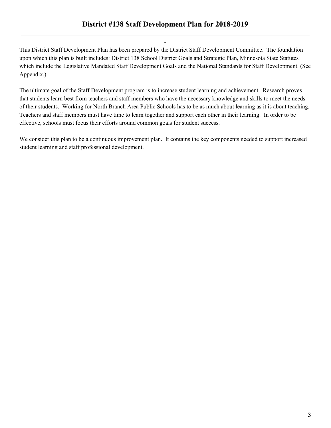This District Staff Development Plan has been prepared by the District Staff Development Committee. The foundation upon which this plan is built includes: District 138 School District Goals and Strategic Plan, Minnesota State Statutes which include the Legislative Mandated Staff Development Goals and the National Standards for Staff Development. (See Appendix.)

-

The ultimate goal of the Staff Development program is to increase student learning and achievement. Research proves that students learn best from teachers and staff members who have the necessary knowledge and skills to meet the needs of their students. Working for North Branch Area Public Schools has to be as much about learning as it is about teaching. Teachers and staff members must have time to learn together and support each other in their learning. In order to be effective, schools must focus their efforts around common goals for student success.

We consider this plan to be a continuous improvement plan. It contains the key components needed to support increased student learning and staff professional development.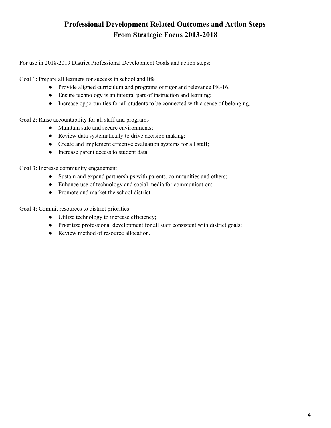For use in 2018-2019 District Professional Development Goals and action steps:

Goal 1: Prepare all learners for success in school and life

- Provide aligned curriculum and programs of rigor and relevance PK-16;
- Ensure technology is an integral part of instruction and learning;
- Increase opportunities for all students to be connected with a sense of belonging.

Goal 2: Raise accountability for all staff and programs

- Maintain safe and secure environments;
- Review data systematically to drive decision making;
- Create and implement effective evaluation systems for all staff;
- Increase parent access to student data.

Goal 3: Increase community engagement

- Sustain and expand partnerships with parents, communities and others;
- Enhance use of technology and social media for communication;
- Promote and market the school district.

Goal 4: Commit resources to district priorities

- Utilize technology to increase efficiency;
- Prioritize professional development for all staff consistent with district goals;
- Review method of resource allocation.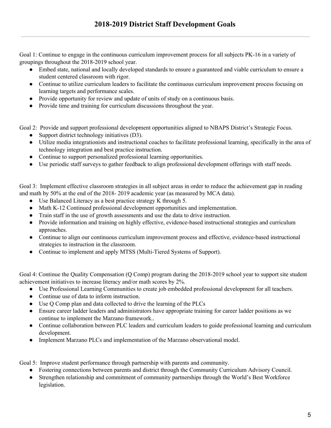Goal 1: Continue to engage in the continuous curriculum improvement process for all subjects PK-16 in a variety of groupings throughout the 2018-2019 school year.

- Embed state, national and locally developed standards to ensure a guaranteed and viable curriculum to ensure a student centered classroom with rigor.
- Continue to utilize curriculum leaders to facilitate the continuous curriculum improvement process focusing on learning targets and performance scales.
- Provide opportunity for review and update of units of study on a continuous basis.
- Provide time and training for curriculum discussions throughout the year.

Goal 2: Provide and support professional development opportunities aligned to NBAPS District's Strategic Focus.

- Support district technology initiatives (D3).
- Utilize media integrationists and instructional coaches to facilitate professional learning, specifically in the area of technology integration and best practice instruction.
- Continue to support personalized professional learning opportunities.
- Use periodic staff surveys to gather feedback to align professional development offerings with staff needs.

Goal 3: Implement effective classroom strategies in all subject areas in order to reduce the achievement gap in reading and math by 50% at the end of the 2018- 2019 academic year (as measured by MCA data).

- Use Balanced Literacy as a best practice strategy K through 5.
- Math K-12 Continued professional development opportunities and implementation.
- Train staff in the use of growth assessments and use the data to drive instruction.
- Provide information and training on highly effective, evidence-based instructional strategies and curriculum approaches.
- Continue to align our continuous curriculum improvement process and effective, evidence-based instructional strategies to instruction in the classroom.
- Continue to implement and apply MTSS (Multi-Tiered Systems of Support).

Goal 4: Continue the Quality Compensation (Q Comp) program during the 2018-2019 school year to support site student achievement initiatives to increase literacy and/or math scores by 2%.

- Use Professional Learning Communities to create job embedded professional development for all teachers.
- Continue use of data to inform instruction.
- Use Q Comp plan and data collected to drive the learning of the PLCs
- Ensure career ladder leaders and administrators have appropriate training for career ladder positions as we continue to implement the Marzano framework..
- Continue collaboration between PLC leaders and curriculum leaders to guide professional learning and curriculum development.
- Implement Marzano PLCs and implementation of the Marzano observational model.

Goal 5: Improve student performance through partnership with parents and community.

- Fostering connections between parents and district through the Community Curriculum Advisory Council.
- Strengthen relationship and commitment of community partnerships through the World's Best Workforce legislation.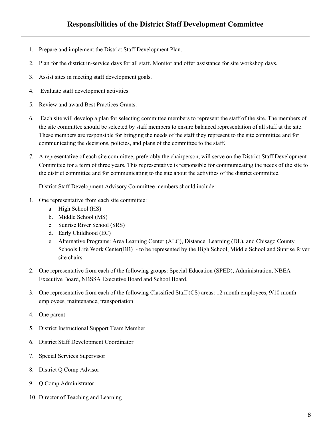- 1. Prepare and implement the District Staff Development Plan.
- 2. Plan for the district in-service days for all staff. Monitor and offer assistance for site workshop days.
- 3. Assist sites in meeting staff development goals.
- 4. Evaluate staff development activities.
- 5. Review and award Best Practices Grants.
- 6. Each site will develop a plan for selecting committee members to represent the staff of the site. The members of the site committee should be selected by staff members to ensure balanced representation of all staff at the site. These members are responsible for bringing the needs of the staff they represent to the site committee and for communicating the decisions, policies, and plans of the committee to the staff.
- 7. A representative of each site committee, preferably the chairperson, will serve on the District Staff Development Committee for a term of three years. This representative is responsible for communicating the needs of the site to the district committee and for communicating to the site about the activities of the district committee.

District Staff Development Advisory Committee members should include:

- 1. One representative from each site committee:
	- a. High School (HS)
	- b. Middle School (MS)
	- c. Sunrise River School (SRS)
	- d. Early Childhood (EC)
	- e. Alternative Programs: Area Learning Center (ALC), Distance Learning (DL), and Chisago County Schools Life Work Center(BB) - to be represented by the High School, Middle School and Sunrise River site chairs.
- 2. One representative from each of the following groups: Special Education (SPED), Administration, NBEA Executive Board, NBSSA Executive Board and School Board.
- 3. One representative from each of the following Classified Staff (CS) areas: 12 month employees, 9/10 month employees, maintenance, transportation
- 4. One parent
- 5. District Instructional Support Team Member
- 6. District Staff Development Coordinator
- 7. Special Services Supervisor
- 8. District Q Comp Advisor
- 9. Q Comp Administrator
- 10. Director of Teaching and Learning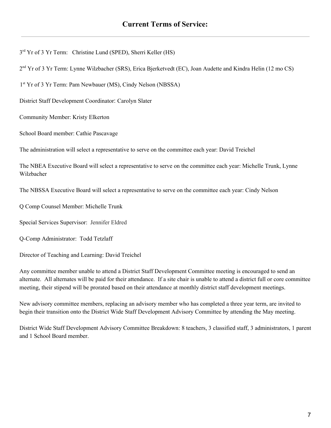3<sup>rd</sup> Yr of 3 Yr Term: Christine Lund (SPED), Sherri Keller (HS)

2<sup>nd</sup> Yr of 3 Yr Term: Lynne Wilzbacher (SRS), Erica Bjerketvedt (EC), Joan Audette and Kindra Helin (12 mo CS)

1 st Yr of 3 Yr Term: Pam Newbauer (MS), Cindy Nelson (NBSSA)

District Staff Development Coordinator: Carolyn Slater

Community Member: Kristy Elkerton

School Board member: Cathie Pascavage

The administration will select a representative to serve on the committee each year: David Treichel

The NBEA Executive Board will select a representative to serve on the committee each year: Michelle Trunk, Lynne Wilzbacher

The NBSSA Executive Board will select a representative to serve on the committee each year: Cindy Nelson

Q Comp Counsel Member: Michelle Trunk

Special Services Supervisor: Jennifer Eldred

Q-Comp Administrator: Todd Tetzlaff

Director of Teaching and Learning: David Treichel

Any committee member unable to attend a District Staff Development Committee meeting is encouraged to send an alternate. All alternates will be paid for their attendance. If a site chair is unable to attend a district full or core committee meeting, their stipend will be prorated based on their attendance at monthly district staff development meetings.

New advisory committee members, replacing an advisory member who has completed a three year term, are invited to begin their transition onto the District Wide Staff Development Advisory Committee by attending the May meeting.

District Wide Staff Development Advisory Committee Breakdown: 8 teachers, 3 classified staff, 3 administrators, 1 parent and 1 School Board member.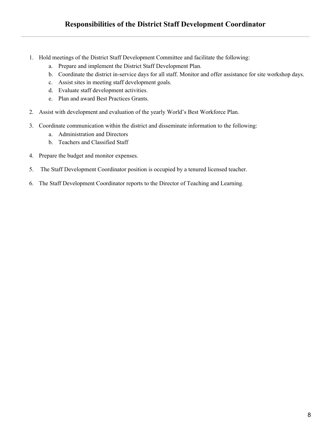- 1. Hold meetings of the District Staff Development Committee and facilitate the following:
	- a. Prepare and implement the District Staff Development Plan.
	- b. Coordinate the district in-service days for all staff. Monitor and offer assistance for site workshop days.
	- c. Assist sites in meeting staff development goals.
	- d. Evaluate staff development activities.
	- e. Plan and award Best Practices Grants.
- 2. Assist with development and evaluation of the yearly World's Best Workforce Plan.
- 3. Coordinate communication within the district and disseminate information to the following:
	- a. Administration and Directors
	- b. Teachers and Classified Staff
- 4. Prepare the budget and monitor expenses.
- 5. The Staff Development Coordinator position is occupied by a tenured licensed teacher.
- 6. The Staff Development Coordinator reports to the Director of Teaching and Learning.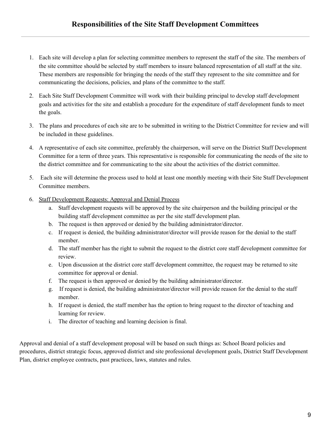- 1. Each site will develop a plan for selecting committee members to represent the staff of the site. The members of the site committee should be selected by staff members to insure balanced representation of all staff at the site. These members are responsible for bringing the needs of the staff they represent to the site committee and for communicating the decisions, policies, and plans of the committee to the staff.
- 2. Each Site Staff Development Committee will work with their building principal to develop staff development goals and activities for the site and establish a procedure for the expenditure of staff development funds to meet the goals.
- 3. The plans and procedures of each site are to be submitted in writing to the District Committee for review and will be included in these guidelines.
- 4. A representative of each site committee, preferably the chairperson, will serve on the District Staff Development Committee for a term of three years. This representative is responsible for communicating the needs of the site to the district committee and for communicating to the site about the activities of the district committee.
- 5. Each site will determine the process used to hold at least one monthly meeting with their Site Staff Development Committee members.
- 6. Staff Development Requests: Approval and Denial Process
	- a. Staff development requests will be approved by the site chairperson and the building principal or the building staff development committee as per the site staff development plan.
	- b. The request is then approved or denied by the building administrator/director.
	- c. If request is denied, the building administrator/director will provide reason for the denial to the staff member.
	- d. The staff member has the right to submit the request to the district core staff development committee for review.
	- e. Upon discussion at the district core staff development committee, the request may be returned to site committee for approval or denial.
	- f. The request is then approved or denied by the building administrator/director.
	- g. If request is denied, the building administrator/director will provide reason for the denial to the staff member.
	- h. If request is denied, the staff member has the option to bring request to the director of teaching and learning for review.
	- i. The director of teaching and learning decision is final.

Approval and denial of a staff development proposal will be based on such things as: School Board policies and procedures, district strategic focus, approved district and site professional development goals, District Staff Development Plan, district employee contracts, past practices, laws, statutes and rules.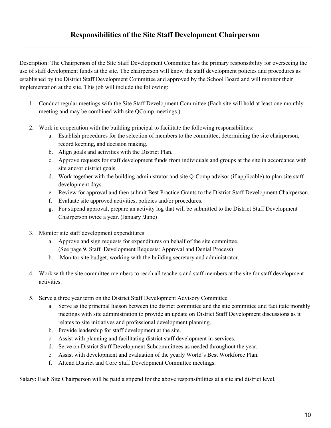Description: The Chairperson of the Site Staff Development Committee has the primary responsibility for overseeing the use of staff development funds at the site. The chairperson will know the staff development policies and procedures as established by the District Staff Development Committee and approved by the School Board and will monitor their implementation at the site. This job will include the following:

- 1. Conduct regular meetings with the Site Staff Development Committee (Each site will hold at least one monthly meeting and may be combined with site QComp meetings.)
- 2. Work in cooperation with the building principal to facilitate the following responsibilities:
	- a. Establish procedures for the selection of members to the committee, determining the site chairperson, record keeping, and decision making.
	- b. Align goals and activities with the District Plan.
	- c. Approve requests for staff development funds from individuals and groups at the site in accordance with site and/or district goals.
	- d. Work together with the building administrator and site Q-Comp advisor (if applicable) to plan site staff development days.
	- e. Review for approval and then submit Best Practice Grants to the District Staff Development Chairperson.
	- f. Evaluate site approved activities, policies and/or procedures.
	- g. For stipend approval, prepare an activity log that will be submitted to the District Staff Development Chairperson twice a year. (January /June)
- 3. Monitor site staff development expenditures
	- a. Approve and sign requests for expenditures on behalf of the site committee. (See page 9, Staff Development Requests: Approval and Denial Process)
	- b. Monitor site budget, working with the building secretary and administrator.
- 4. Work with the site committee members to reach all teachers and staff members at the site for staff development activities.
- 5. Serve a three year term on the District Staff Development Advisory Committee
	- a. Serve as the principal liaison between the district committee and the site committee and facilitate monthly meetings with site administration to provide an update on District Staff Development discussions as it relates to site initiatives and professional development planning.
	- b. Provide leadership for staff development at the site.
	- c. Assist with planning and facilitating district staff development in-services.
	- d. Serve on District Staff Development Subcommittees as needed throughout the year.
	- e. Assist with development and evaluation of the yearly World's Best Workforce Plan.
	- f. Attend District and Core Staff Development Committee meetings.

Salary: Each Site Chairperson will be paid a stipend for the above responsibilities at a site and district level.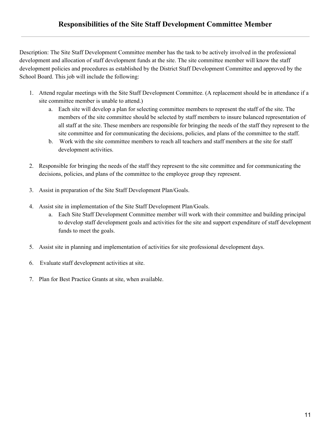Description: The Site Staff Development Committee member has the task to be actively involved in the professional development and allocation of staff development funds at the site. The site committee member will know the staff development policies and procedures as established by the District Staff Development Committee and approved by the School Board. This job will include the following:

- 1. Attend regular meetings with the Site Staff Development Committee. (A replacement should be in attendance if a site committee member is unable to attend.)
	- a. Each site will develop a plan for selecting committee members to represent the staff of the site. The members of the site committee should be selected by staff members to insure balanced representation of all staff at the site. These members are responsible for bringing the needs of the staff they represent to the site committee and for communicating the decisions, policies, and plans of the committee to the staff.
	- b. Work with the site committee members to reach all teachers and staff members at the site for staff development activities.
- 2. Responsible for bringing the needs of the staff they represent to the site committee and for communicating the decisions, policies, and plans of the committee to the employee group they represent.
- 3. Assist in preparation of the Site Staff Development Plan/Goals.
- 4. Assist site in implementation of the Site Staff Development Plan/Goals.
	- a. Each Site Staff Development Committee member will work with their committee and building principal to develop staff development goals and activities for the site and support expenditure of staff development funds to meet the goals.
- 5. Assist site in planning and implementation of activities for site professional development days.
- 6. Evaluate staff development activities at site.
- 7. Plan for Best Practice Grants at site, when available.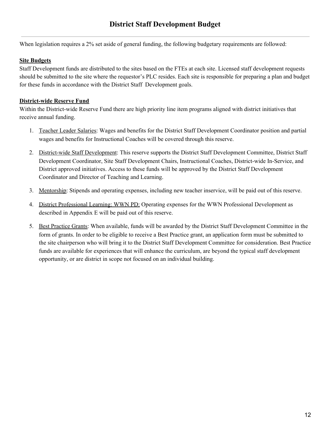When legislation requires a 2% set aside of general funding, the following budgetary requirements are followed:

#### **Site Budgets**

Staff Development funds are distributed to the sites based on the FTEs at each site. Licensed staff development requests should be submitted to the site where the requestor's PLC resides. Each site is responsible for preparing a plan and budget for these funds in accordance with the District Staff Development goals.

# **District-wide Reserve Fund**

Within the District-wide Reserve Fund there are high priority line item programs aligned with district initiatives that receive annual funding.

- 1. Teacher Leader Salaries: Wages and benefits for the District Staff Development Coordinator position and partial wages and benefits for Instructional Coaches will be covered through this reserve.
- 2. District-wide Staff Development: This reserve supports the District Staff Development Committee, District Staff Development Coordinator, Site Staff Development Chairs, Instructional Coaches, District-wide In-Service, and District approved initiatives. Access to these funds will be approved by the District Staff Development Coordinator and Director of Teaching and Learning.
- 3. Mentorship: Stipends and operating expenses, including new teacher inservice, will be paid out of this reserve.
- 4. District Professional Learning: WWN PD: Operating expenses for the WWN Professional Development as described in Appendix E will be paid out of this reserve.
- 5. Best Practice Grants: When available, funds will be awarded by the District Staff Development Committee in the form of grants. In order to be eligible to receive a Best Practice grant, an application form must be submitted to the site chairperson who will bring it to the District Staff Development Committee for consideration. Best Practice funds are available for experiences that will enhance the curriculum, are beyond the typical staff development opportunity, or are district in scope not focused on an individual building.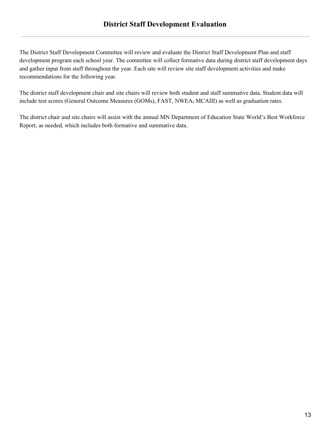The District Staff Development Committee will review and evaluate the District Staff Development Plan and staff development program each school year. The committee will collect formative data during district staff development days and gather input from staff throughout the year. Each site will review site staff development activities and make recommendations for the following year.

The district staff development chair and site chairs will review both student and staff summative data. Student data will include test scores (General Outcome Measures (GOMs), FAST, NWEA, MCAIII) as well as graduation rates.

The district chair and site chairs will assist with the annual MN Department of Education State World's Best Workforce Report, as needed, which includes both formative and summative data.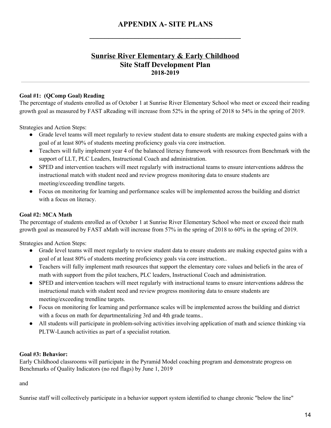**\_\_\_\_\_\_\_\_\_\_\_\_\_\_\_\_\_\_\_\_\_\_\_\_\_\_\_\_\_\_\_\_\_\_\_\_\_\_\_\_**

# **Sunrise River Elementary & Early Childhood Site Staff Development Plan 2018-2019**

### **Goal #1: (QComp Goal) Reading**

The percentage of students enrolled as of October 1 at Sunrise River Elementary School who meet or exceed their reading growth goal as measured by FAST aReading will increase from 52% in the spring of 2018 to 54% in the spring of 2019.

Strategies and Action Steps:

- Grade level teams will meet regularly to review student data to ensure students are making expected gains with a goal of at least 80% of students meeting proficiency goals via core instruction.
- Teachers will fully implement year 4 of the balanced literacy framework with resources from Benchmark with the support of LLT, PLC Leaders, Instructional Coach and administration.
- SPED and intervention teachers will meet regularly with instructional teams to ensure interventions address the instructional match with student need and review progress monitoring data to ensure students are meeting/exceeding trendline targets.
- Focus on monitoring for learning and performance scales will be implemented across the building and district with a focus on literacy.

# **Goal #2: MCA Math**

The percentage of students enrolled as of October 1 at Sunrise River Elementary School who meet or exceed their math growth goal as measured by FAST aMath will increase from 57% in the spring of 2018 to 60% in the spring of 2019.

Strategies and Action Steps:

- Grade level teams will meet regularly to review student data to ensure students are making expected gains with a goal of at least 80% of students meeting proficiency goals via core instruction..
- Teachers will fully implement math resources that support the elementary core values and beliefs in the area of math with support from the pilot teachers, PLC leaders, Instructional Coach and administration.
- SPED and intervention teachers will meet regularly with instructional teams to ensure interventions address the instructional match with student need and review progress monitoring data to ensure students are meeting/exceeding trendline targets.
- Focus on monitoring for learning and performance scales will be implemented across the building and district with a focus on math for departmentalizing 3rd and 4th grade teams..
- All students will participate in problem-solving activities involving application of math and science thinking via PLTW-Launch activities as part of a specialist rotation.

#### **Goal #3: Behavior:**

Early Childhood classrooms will participate in the Pyramid Model coaching program and demonstrate progress on Benchmarks of Quality Indicators (no red flags) by June 1, 2019

and

Sunrise staff will collectively participate in a behavior support system identified to change chronic "below the line"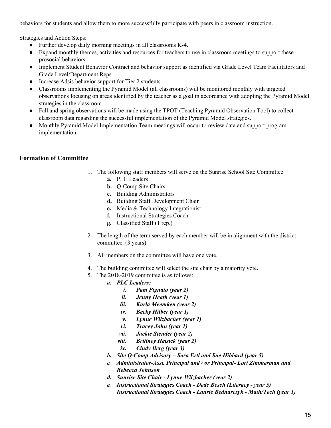behaviors for students and allow them to more successfully participate with peers in classroom instruction.

Strategies and Action Steps:

- Further develop daily morning meetings in all classrooms K-4.
- Expand monthly themes, activities and resources for teachers to use in classroom meetings to support these prosocial behaviors.
- Implement Student Behavior Contract and behavior support as identified via Grade Level Team Facilitators and Grade Level/Department Reps
- Increase Adsis behavior support for Tier 2 students.
- Classrooms implementing the Pyramid Model (all classrooms) will be monitored monthly with targeted observations focusing on areas identified by the teacher as a goal in accordance with adopting the Pyramid Model strategies in the classroom.
- Fall and spring observations will be made using the TPOT (Teaching Pyramid Observation Tool) to collect classroom data regarding the successful implementation of the Pyramid Model strategies.
- Monthly Pyramid Model Implementation Team meetings will occur to review data and support program implementation.

# **Formation of Committee**

- 1. The following staff members will serve on the Sunrise School Site Committee
	- **a.** PLC Leaders
	- **b.** Q-Comp Site Chairs
	- **c.** Building Administrators
	- **d.** Building Staff Development Chair
	- **e.** Media & Technology Integrationist
	- **f.** Instructional Strategies Coach
	- **g.** Classified Staff (1 rep.)
- 2. The length of the term served by each member will be in alignment with the district committee. (3 years)
- 3. All members on the committee will have one vote.
- 4. The building committee will select the site chair by a majority vote.
- 5. The 2018-2019 committee is as follows:
	- *a. PLC Leaders:*
		- *i. Pam Pignato (year 2)*
		- *ii. Jenny Heath (year 1)*
		- *iii. Karla Meemken (year 2)*
		- *iv. Becky Hilber (year 1)*
		- *v. Lynne Wilzbacher (year 1)*
		- *vi. Tracey John (year 1)*
		- *vii. Jackie Stender (year 2)*
		- *viii. Brittney Heisick (year 2)*
		- *ix. Cindy Berg (year 3)*
	- *b. Site Q-Comp Advisory – Sara Ertl and Sue Hibbard (year 5)*
	- *c. Administrator-Asst. Principal and / or Principal- Lori Zimmerman and Rebecca Johnson*
	- *d. Sunrise Site Chair - Lynne Wilzbacher (year 2)*
	- *e. Instructional Strategies Coach - Dede Besch (Literacy - year 5) Instructional Strategies Coach - Laurie Bednarczyk - Math/Tech (year 1)*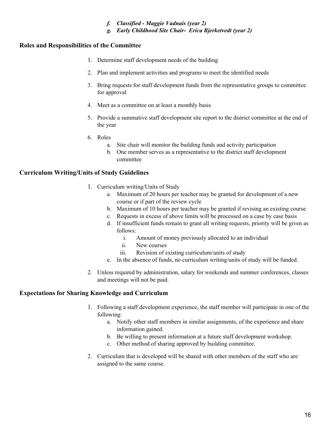- *f. Classified - Maggie Vadnais (year 2)*
- *g. Early Childhood Site Chair- Erica Bjerketvedt (year 2)*

# **Roles and Responsibilities of the Committee**

- 1. Determine staff development needs of the building
- 2. Plan and implement activities and programs to meet the identified needs
- 3. Bring requests for staff development funds from the representative groups to committee for approval
- 4. Meet as a committee on at least a monthly basis
- 5. Provide a summative staff development site report to the district committee at the end of the year
- 6. Roles
	- a. Site chair will monitor the building funds and activity participation
	- b. One member serves as a representative to the district staff development committee

## **Curriculum Writing/Units of Study Guidelines**

- 1. Curriculum writing/Units of Study
	- a. Maximum of 20 hours per teacher may be granted for development of a new course or if part of the review cycle
	- b. Maximum of 10 hours per teacher may be granted if revising an existing course
	- c. Requests in excess of above limits will be processed on a case by case basis
	- d. If insufficient funds remain to grant all writing requests, priority will be given as follows:
		- i. Amount of money previously allocated to an individual
		- ii. New courses
		- iii. Revision of existing curriculum/units of study
	- e. In the absence of funds, no curriculum writing/units of study will be funded.
- 2. Unless required by administration, salary for weekends and summer conferences, classes and meetings will not be paid.

#### **Expectations for Sharing Knowledge and Curriculum**

- 1. Following a staff development experience, the staff member will participate in one of the following:
	- a. Notify other staff members in similar assignments, of the experience and share information gained.
	- b. Be willing to present information at a future staff development workshop.
	- c. Other method of sharing approved by building committee.
- 2. Curriculum that is developed will be shared with other members of the staff who are assigned to the same course.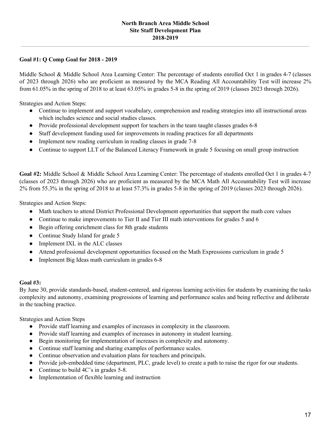#### **North Branch Area Middle School Site Staff Development Plan 2018-2019**

### **Goal #1: Q Comp Goal for 2018 - 2019**

Middle School & Middle School Area Learning Center: The percentage of students enrolled Oct 1 in grades 4-7 (classes of 2023 through 2026) who are proficient as measured by the MCA Reading All Accountability Test will increase 2% from 61.05% in the spring of 2018 to at least 63.05% in grades 5-8 in the spring of 2019 (classes 2023 through 2026).

Strategies and Action Steps:

- Continue to implement and support vocabulary, comprehension and reading strategies into all instructional areas which includes science and social studies classes.
- Provide professional development support for teachers in the team taught classes grades 6-8
- Staff development funding used for improvements in reading practices for all departments
- Implement new reading curriculum in reading classes in grade 7-8
- Continue to support LLT of the Balanced Literacy Framework in grade 5 focusing on small group instruction

**Goal #2:** Middle School & Middle School Area Learning Center: The percentage of students enrolled Oct 1 in grades 4-7 (classes of 2023 through 2026) who are proficient as measured by the MCA Math All Accountability Test will increase 2% from 55.3% in the spring of 2018 to at least 57.3% in grades 5-8 in the spring of 2019 (classes 2023 through 2026).

Strategies and Action Steps:

- Math teachers to attend District Professional Development opportunities that support the math core values
- Continue to make improvements to Tier II and Tier III math interventions for grades 5 and 6
- Begin offering enrichment class for 8th grade students
- Continue Study Island for grade 5
- Implement IXL in the ALC classes
- Attend professional development opportunities focused on the Math Expressions curriculum in grade 5
- Implement Big Ideas math curriculum in grades 6-8

#### **Goal #3:**

By June 30, provide standards-based, student-centered, and rigorous learning activities for students by examining the tasks complexity and autonomy, examining progressions of learning and performance scales and being reflective and deliberate in the teaching practice.

Strategies and Action Steps

- Provide staff learning and examples of increases in complexity in the classroom.
- Provide staff learning and examples of increases in autonomy in student learning.
- Begin monitoring for implementation of increases in complexity and autonomy.
- Continue staff learning and sharing examples of performance scales.
- Continue observation and evaluation plans for teachers and principals.
- Provide job-embedded time (department, PLC, grade level) to create a path to raise the rigor for our students.
- Continue to build 4C's in grades 5-8.
- Implementation of flexible learning and instruction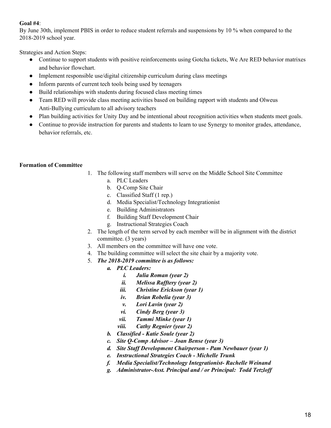## **Goal #4**:

By June 30th, implement PBIS in order to reduce student referrals and suspensions by 10 % when compared to the 2018-2019 school year.

Strategies and Action Steps:

- Continue to support students with positive reinforcements using Gotcha tickets, We Are RED behavior matrixes and behavior flowchart.
- Implement responsible use/digital citizenship curriculum during class meetings
- Inform parents of current tech tools being used by teenagers
- Build relationships with students during focused class meeting times
- Team RED will provide class meeting activities based on building rapport with students and Olweus Anti-Bullying curriculum to all advisory teachers
- Plan building activities for Unity Day and be intentional about recognition activities when students meet goals.
- Continue to provide instruction for parents and students to learn to use Synergy to monitor grades, attendance, behavior referrals, etc.

## **Formation of Committee**

- 1. The following staff members will serve on the Middle School Site Committee
	- a. PLC Leaders
	- b. Q-Comp Site Chair
	- c. Classified Staff (1 rep.)
	- d. Media Specialist/Technology Integrationist
	- e. Building Administrators
	- f. Building Staff Development Chair
	- g. Instructional Strategies Coach
- 2. The length of the term served by each member will be in alignment with the district committee. (3 years)
- 3. All members on the committee will have one vote.
- 4. The building committee will select the site chair by a majority vote.
- 5. *The 2018-2019 committee is as follows:*
	- *a. PLC Leaders:*
		- *i. Julia Roman (year 2)*
		- *ii. Melissa Raf tery (year 2)*
		- *iii. Christine Erickson (year 1)*
		- *iv. Brian Robelia (year 3)*
		- *v. Lori Lavin (year 2)*
		- *vi. Cindy Berg (year 3)*
		- *vii. Tammi Minke (year 1)*
		- *viii. Cathy Regnier (year 2)*
	- *b. Classified - Katie Soule (year 2)*
	- *c. Site Q-Comp Advisor – Joan Bense (year 3)*
	- *d. Site Staf Development Chairperson - Pam Newbauer (year 1)*
	- *e. Instructional Strategies Coach - Michelle Trunk*
	- *f. Media Specialist/Technology Integrationist- Rachelle Weinand*
	- *g. Administrator-Asst. Principal and / or Principal: Todd Tetzlof*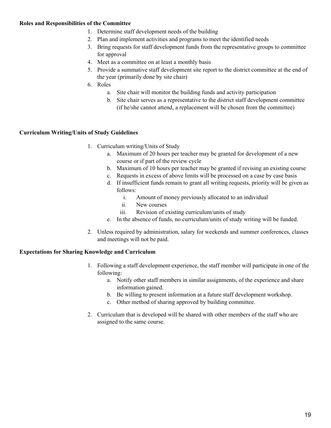# **Roles and Responsibilities of the Committee**

- 1. Determine staff development needs of the building
- 2. Plan and implement activities and programs to meet the identified needs
- 3. Bring requests for staff development funds from the representative groups to committee for approval
- 4. Meet as a committee on at least a monthly basis
- 5. Provide a summative staff development site report to the district committee at the end of the year (primarily done by site chair)
- 6. Roles
	- a. Site chair will monitor the building funds and activity participation
	- b. Site chair serves as a representative to the district staff development committee (if he/she cannot attend, a replacement will be chosen from the committee)

## **Curriculum Writing/Units of Study Guidelines**

- 1. Curriculum writing/Units of Study
	- a. Maximum of 20 hours per teacher may be granted for development of a new course or if part of the review cycle
	- b. Maximum of 10 hours per teacher may be granted if revising an existing course
	- c. Requests in excess of above limits will be processed on a case by case basis
	- d. If insufficient funds remain to grant all writing requests, priority will be given as follows:
		- i. Amount of money previously allocated to an individual
		- ii. New courses
		- iii. Revision of existing curriculum/units of study
	- e. In the absence of funds, no curriculum/units of study writing will be funded.
- 2. Unless required by administration, salary for weekends and summer conferences, classes and meetings will not be paid.

#### **Expectations for Sharing Knowledge and Curriculum**

- 1. Following a staff development experience, the staff member will participate in one of the following:
	- a. Notify other staff members in similar assignments, of the experience and share information gained.
	- b. Be willing to present information at a future staff development workshop.
	- c. Other method of sharing approved by building committee.
- 2. Curriculum that is developed will be shared with other members of the staff who are assigned to the same course.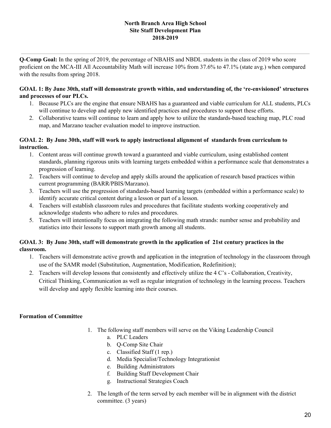#### **North Branch Area High School Site Staff Development Plan 2018-2019**

**Q-Comp Goal:** In the spring of 2019, the percentage of NBAHS and NBDL students in the class of 2019 who score proficient on the MCA-III All Accountability Math will increase 10% from 37.6% to 47.1% (state avg.) when compared with the results from spring 2018.

#### **GOAL 1: By June 30th, staff will demonstrate growth within, and understanding of, the 're-envisioned' structures and processes of our PLCs.**

- 1. Because PLCs are the engine that ensure NBAHS has a guaranteed and viable curriculum for ALL students, PLCs will continue to develop and apply new identified practices and procedures to support these efforts.
- 2. Collaborative teams will continue to learn and apply how to utilize the standards-based teaching map, PLC road map, and Marzano teacher evaluation model to improve instruction.

## **GOAL 2: By June 30th, staff will work to apply instructional alignment of standards from curriculum to instruction.**

- 1. Content areas will continue growth toward a guaranteed and viable curriculum, using established content standards, planning rigorous units with learning targets embedded within a performance scale that demonstrates a progression of learning.
- 2. Teachers will continue to develop and apply skills around the application of research based practices within current programming (BARR/PBIS/Marzano).
- 3. Teachers will use the progression of standards-based learning targets (embedded within a performance scale) to identify accurate critical content during a lesson or part of a lesson.
- 4. Teachers will establish classroom rules and procedures that facilitate students working cooperatively and acknowledge students who adhere to rules and procedures.
- 5. Teachers will intentionally focus on integrating the following math strands: number sense and probability and statistics into their lessons to support math growth among all students.

# GOAL 3: By June 30th, staff will demonstrate growth in the application of 21st century practices in the **classroom.**

- 1. Teachers will demonstrate active growth and application in the integration of technology in the classroom through use of the SAMR model (Substitution, Augmentation, Modification, Redefinition);
- 2. Teachers will develop lessons that consistently and effectively utilize the 4 C's Collaboration, Creativity, Critical Thinking, Communication as well as regular integration of technology in the learning process. Teachers will develop and apply flexible learning into their courses.

# **Formation of Committee**

- 1. The following staff members will serve on the Viking Leadership Council
	- a. PLC Leaders
	- b. Q-Comp Site Chair
	- c. Classified Staff (1 rep.)
	- d. Media Specialist/Technology Integrationist
	- e. Building Administrators
	- f. Building Staff Development Chair
	- g. Instructional Strategies Coach
- 2. The length of the term served by each member will be in alignment with the district committee. (3 years)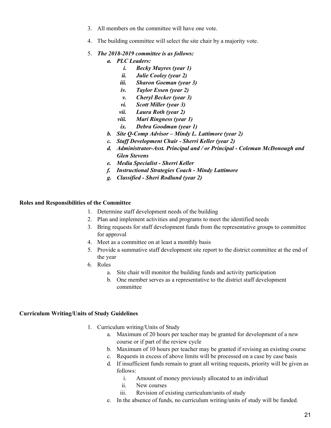- 3. All members on the committee will have one vote.
- 4. The building committee will select the site chair by a majority vote.
- 5. *The 2018-2019 committee is as follows:*
	- *a. PLC Leaders:*
		- *i. Becky Muyres (year 1)*
		- *ii. Julie Cooley (year 2)*
		- *iii. Sharon Goeman (year 3)*
		- *iv. Taylor Essen (year 2)*
		- *v. Cheryl Becker (year 3)*
		- *vi. Scott Miller (year 3)*
		- *vii. Laura Roth (year 2)*
		- *viii. Mari Ringness (year 1)*
		- *ix. Debra Goodman (year 1)*
	- *b. Site Q-Comp Advisor – Mindy L. Lattimore (year 2)*
	- *c. Staf Development Chair - Sherri Keller (year 2)*
	- *d. Administrator-Asst. Principal and / or Principal - Coleman McDonough and Glen Stevens*
	- *e. Media Specialist - Sherri Keller*
	- *f. Instructional Strategies Coach - Mindy Lattimore*
	- *g. Classified - Sheri Rodlund (year 2)*

#### **Roles and Responsibilities of the Committee**

- 1. Determine staff development needs of the building
- 2. Plan and implement activities and programs to meet the identified needs
- 3. Bring requests for staff development funds from the representative groups to committee for approval
- 4. Meet as a committee on at least a monthly basis
- 5. Provide a summative staff development site report to the district committee at the end of the year
- 6. Roles
	- a. Site chair will monitor the building funds and activity participation
	- b. One member serves as a representative to the district staff development committee

#### **Curriculum Writing/Units of Study Guidelines**

- 1. Curriculum writing/Units of Study
	- a. Maximum of 20 hours per teacher may be granted for development of a new course or if part of the review cycle
	- b. Maximum of 10 hours per teacher may be granted if revising an existing course
	- c. Requests in excess of above limits will be processed on a case by case basis
	- d. If insufficient funds remain to grant all writing requests, priority will be given as follows:
		- i. Amount of money previously allocated to an individual
		- ii. New courses
		- iii. Revision of existing curriculum/units of study
	- e. In the absence of funds, no curriculum writing/units of study will be funded.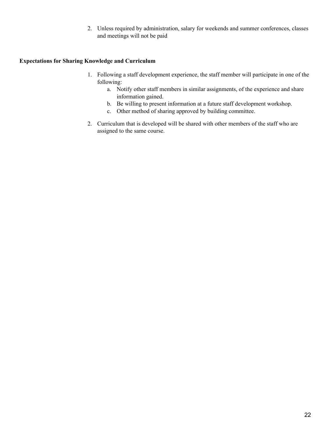2. Unless required by administration, salary for weekends and summer conferences, classes and meetings will not be paid

### **Expectations for Sharing Knowledge and Curriculum**

- 1. Following a staff development experience, the staff member will participate in one of the following:
	- a. Notify other staff members in similar assignments, of the experience and share information gained.
	- b. Be willing to present information at a future staff development workshop.
	- c. Other method of sharing approved by building committee.
- 2. Curriculum that is developed will be shared with other members of the staff who are assigned to the same course.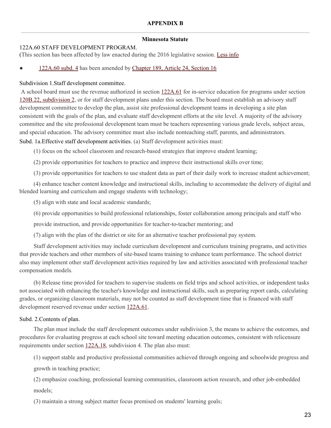#### **APPENDIX B**

#### **Minnesota Statute**

#### 122A.60 STAFF DEVELOPMENT PROGRAM.

(This section has been affected by law enacted during the 2016 legislative session. [Less](https://www.revisor.mn.gov/statutes/?id=122a.60#) info

#### [122A.60](https://www.revisor.mn.gov/statutes/?id=122a.60#stat.122A.60.4) subd. 4 has been amended by [Chapter](https://www.revisor.mn.gov/laws/?id=189&year=2016&type=0#laws.24.16.0) 189, Article 24, Section 16

#### Subdivision 1.Staff development committee.

A school board must use the revenue authorized in section [122A.61](https://www.revisor.mn.gov/statutes?id=122A.61#stat.122A.61) for in-service education for programs under section 120B.22, [subdivision](https://www.revisor.mn.gov/statutes?id=120B.22#stat.120B.22.2) 2, or for staff development plans under this section. The board must establish an advisory staff development committee to develop the plan, assist site professional development teams in developing a site plan consistent with the goals of the plan, and evaluate staff development efforts at the site level. A majority of the advisory committee and the site professional development team must be teachers representing various grade levels, subject areas, and special education. The advisory committee must also include nonteaching staff, parents, and administrators.

Subd. 1a.Effective staff development activities. (a) Staff development activities must:

(1) focus on the school classroom and research-based strategies that improve student learning;

(2) provide opportunities for teachers to practice and improve their instructional skills over time;

(3) provide opportunities for teachers to use student data as part of their daily work to increase student achievement;

(4) enhance teacher content knowledge and instructional skills, including to accommodate the delivery of digital and blended learning and curriculum and engage students with technology;

(5) align with state and local academic standards;

(6) provide opportunities to build professional relationships, foster collaboration among principals and staff who

provide instruction, and provide opportunities for teacher-to-teacher mentoring; and

(7) align with the plan of the district or site for an alternative teacher professional pay system.

Staff development activities may include curriculum development and curriculum training programs, and activities that provide teachers and other members of site-based teams training to enhance team performance. The school district also may implement other staff development activities required by law and activities associated with professional teacher compensation models.

(b) Release time provided for teachers to supervise students on field trips and school activities, or independent tasks not associated with enhancing the teacher's knowledge and instructional skills, such as preparing report cards, calculating grades, or organizing classroom materials, may not be counted as staff development time that is financed with staff development reserved revenue under section [122A.61.](https://www.revisor.mn.gov/statutes?id=122A.61#stat.122A.61)

#### Subd. 2.Contents of plan.

The plan must include the staff development outcomes under subdivision 3, the means to achieve the outcomes, and procedures for evaluating progress at each school site toward meeting education outcomes, consistent with relicensure requirements under section [122A.18,](https://www.revisor.mn.gov/statutes?id=122A.18#stat.122A.18) subdivision 4. The plan also must:

(1) support stable and productive professional communities achieved through ongoing and schoolwide progress and growth in teaching practice;

(2) emphasize coaching, professional learning communities, classroom action research, and other job-embedded models;

(3) maintain a strong subject matter focus premised on students' learning goals;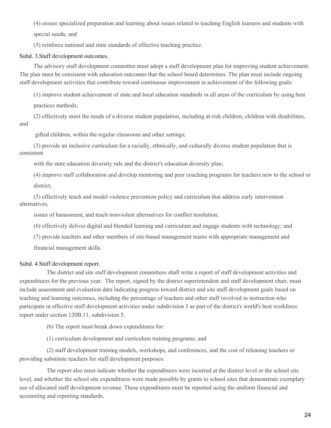(4) ensure specialized preparation and learning about issues related to teaching English learners and students with special needs; and

(5) reinforce national and state standards of effective teaching practice.

#### Subd. 3.Staff development outcomes.

The advisory staff development committee must adopt a staff development plan for improving student achievement. The plan must be consistent with education outcomes that the school board determines. The plan must include ongoing staff development activities that contribute toward continuous improvement in achievement of the following goals:

(1) improve student achievement of state and local education standards in all areas of the curriculum by using best practices methods;

(2) effectively meet the needs of a diverse student population, including at-risk children, children with disabilities, and

gifted children, within the regular classroom and other settings;

(3) provide an inclusive curriculum for a racially, ethnically, and culturally diverse student population that is consistent

with the state education diversity rule and the district's education diversity plan;

(4) improve staff collaboration and develop mentoring and peer coaching programs for teachers new to the school or district;

(5) effectively teach and model violence prevention policy and curriculum that address early intervention alternatives,

issues of harassment, and teach nonviolent alternatives for conflict resolution;

(6) effectively deliver digital and blended learning and curriculum and engage students with technology; and

(7) provide teachers and other members of site-based management teams with appropriate management and financial management skills.

#### Subd. 4.Staff development report.

The district and site staff development committees shall write a report of staff development activities and expenditures for the previous year. The report, signed by the district superintendent and staff development chair, must include assessment and evaluation data indicating progress toward district and site staff development goals based on teaching and learning outcomes, including the percentage of teachers and other staff involved in instruction who participate in effective staff development activities under subdivision 3 as part of the district's world's best workforce report under section 120B.11, subdivision 5.

(b) The report must break down expenditures for:

(1) curriculum development and curriculum training programs; and

(2) staff development training models, workshops, and conferences, and the cost of releasing teachers or providing substitute teachers for staff development purposes.

The report also must indicate whether the expenditures were incurred at the district level or the school site level, and whether the school site expenditures were made possible by grants to school sites that demonstrate exemplary use of allocated staff development revenue. These expenditures must be reported using the uniform financial and accounting and reporting standards.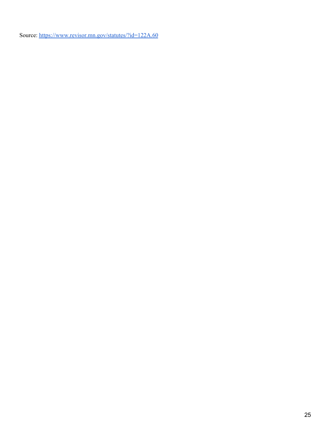Source: <https://www.revisor.mn.gov/statutes/?id=122A.60>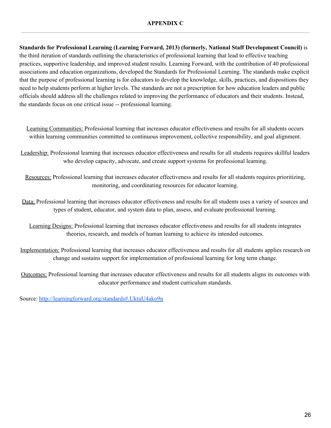#### **APPENDIX C**

**Standards for Professional Learning (Learning Forward, 2013) (formerly, National Staff Development Council)** is the third iteration of standards outlining the characteristics of professional learning that lead to effective teaching practices, supportive leadership, and improved student results. Learning Forward, with the contribution of 40 professional associations and education organizations, developed the Standards for Professional Learning. The standards make explicit that the purpose of professional learning is for educators to develop the knowledge, skills, practices, and dispositions they need to help students perform at higher levels. The standards are not a prescription for how education leaders and public officials should address all the challenges related to improving the performance of educators and their students. Instead, the standards focus on one critical issue -- professional learning.

Learning [Communities:](http://www.learningforward.org/standards/learningcommunities/index.cfm) Professional learning that increases educator effectiveness and results for all students occurs within learning communities committed to continuous improvement, collective responsibility, and goal alignment.

[Leadership:](http://www.learningforward.org/standards/leadership/index.cfm) Professional learning that increases educator effectiveness and results for all students requires skillful leaders who develop capacity, advocate, and create support systems for professional learning.

[Resources:](http://www.learningforward.org/standards/resources/index.cfm) Professional learning that increases educator effectiveness and results for all students requires prioritizing, monitoring, and coordinating resources for educator learning.

[Data:](http://www.learningforward.org/standards/data/index.cfm) Professional learning that increases educator effectiveness and results for all students uses a variety of sources and types of student, educator, and system data to plan, assess, and evaluate professional learning.

[Learning](http://www.learningforward.org/standards/learningdesigns/index.cfm) Designs: Professional learning that increases educator effectiveness and results for all students integrates theories, research, and models of human learning to achieve its intended outcomes.

[Implementation:](http://www.learningforward.org/standards/implementation/index.cfm) Professional learning that increases educator effectiveness and results for all students applies research on change and sustains support for implementation of professional learning for long term change.

[Outcomes:](http://www.learningforward.org/standards/outcomes/index.cfm) Professional learning that increases educator effectiveness and results for all students aligns its outcomes with educator performance and student curriculum standards.

Source: <http://learningforward.org/standards#.UktuU4ako9n>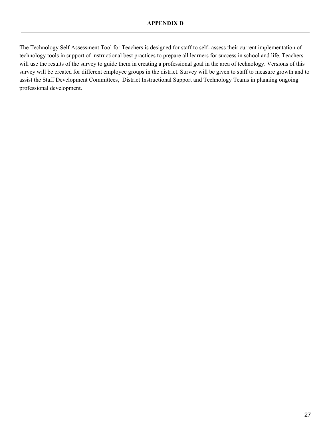The Technology Self Assessment Tool for Teachers is designed for staff to self- assess their current implementation of technology tools in support of instructional best practices to prepare all learners for success in school and life. Teachers will use the results of the survey to guide them in creating a professional goal in the area of technology. Versions of this survey will be created for different employee groups in the district. Survey will be given to staff to measure growth and to assist the Staff Development Committees, District Instructional Support and Technology Teams in planning ongoing professional development.